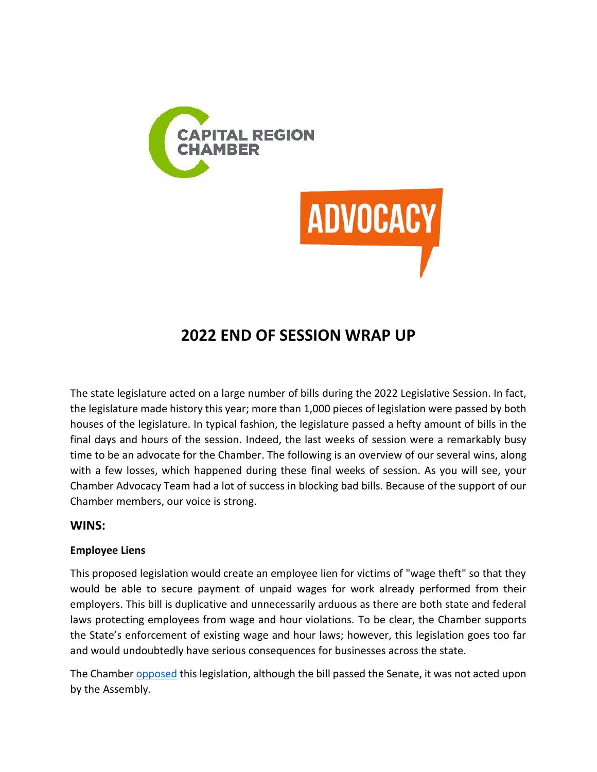

# **2022 END OF SESSION WRAP UP**

The state legislature acted on a large number of bills during the 2022 Legislative Session. In fact, the legislature made history this year; more than 1,000 pieces of legislation were passed by both houses of the legislature. In typical fashion, the legislature passed a hefty amount of bills in the final days and hours of the session. Indeed, the last weeks of session were a remarkably busy time to be an advocate for the Chamber. The following is an overview of our several wins, along with a few losses, which happened during these final weeks of session. As you will see, your Chamber Advocacy Team had a lot of success in blocking bad bills. Because of the support of our Chamber members, our voice is strong.

# **WINS:**

# **Employee Liens**

This proposed legislation would create an employee lien for victims of "wage theft" so that they would be able to secure payment of unpaid wages for work already performed from their employers. This bill is duplicative and unnecessarily arduous as there are both state and federal laws protecting employees from wage and hour violations. To be clear, the Chamber supports the State's enforcement of existing wage and hour laws; however, this legislation goes too far and would undoubtedly have serious consequences for businesses across the state.

The Chambe[r opposed](https://capitalregionchamber.com/wp-content/uploads/2022/06/Employee-Lien_Joint-Opposition-Letter-5.23.22.pdf) this legislation, although the bill passed the Senate, it was not acted upon by the Assembly.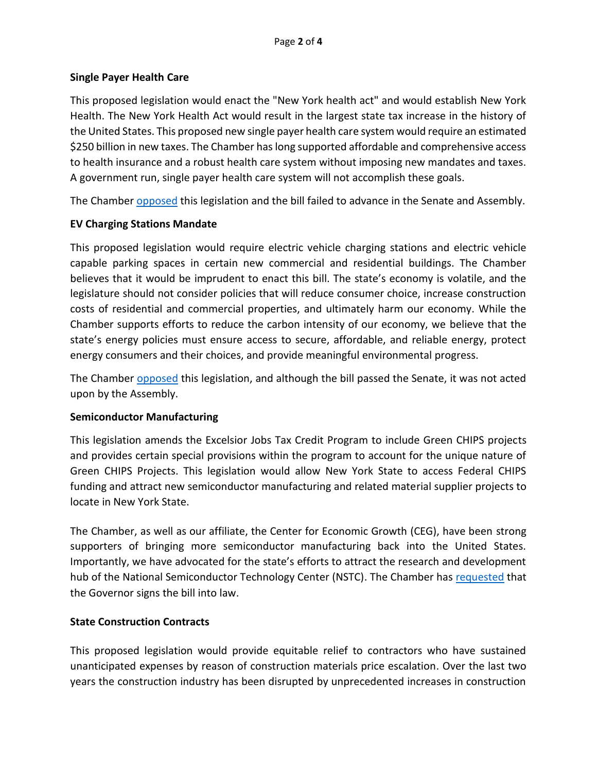### **Single Payer Health Care**

This proposed legislation would enact the "New York health act" and would establish New York Health. The New York Health Act would result in the largest state tax increase in the history of the United States. This proposed new single payer health care system would require an estimated \$250 billion in new taxes. The Chamber has long supported affordable and comprehensive access to health insurance and a robust health care system without imposing new mandates and taxes. A government run, single payer health care system will not accomplish these goals.

The Chamber [opposed](https://capitalregionchamber.com/wp-content/uploads/2021/03/Memo-in-Opposition-S5474-A6058-Single-Payer.pdf) this legislation and the bill failed to advance in the Senate and Assembly.

# **EV Charging Stations Mandate**

This proposed legislation would require electric vehicle charging stations and electric vehicle capable parking spaces in certain new commercial and residential buildings. The Chamber believes that it would be imprudent to enact this bill. The state's economy is volatile, and the legislature should not consider policies that will reduce consumer choice, increase construction costs of residential and commercial properties, and ultimately harm our economy. While the Chamber supports efforts to reduce the carbon intensity of our economy, we believe that the state's energy policies must ensure access to secure, affordable, and reliable energy, protect energy consumers and their choices, and provide meaningful environmental progress.

The Chamber [opposed](https://capitalregionchamber.com/wp-content/uploads/2022/05/Memo-in-Opposition-S7406-A3179-EV-Charging-Station-Mandate-.pdf) this legislation, and although the bill passed the Senate, it was not acted upon by the Assembly.

#### **Semiconductor Manufacturing**

This legislation amends the Excelsior Jobs Tax Credit Program to include Green CHIPS projects and provides certain special provisions within the program to account for the unique nature of Green CHIPS Projects. This legislation would allow New York State to access Federal CHIPS funding and attract new semiconductor manufacturing and related material supplier projects to locate in New York State.

The Chamber, as well as our affiliate, the Center for Economic Growth (CEG), have been strong supporters of bringing more semiconductor manufacturing back into the United States. Importantly, we have advocated for the state's efforts to attract the research and development hub of the National Semiconductor Technology Center (NSTC). The Chamber has [requested](https://capitalregionchamber.com/wp-content/uploads/2022/06/Ltr-to-Gov-re-S9467-A10507-Semiconductor-Legislation.pdf) that the Governor signs the bill into law.

# **State Construction Contracts**

This proposed legislation would provide equitable relief to contractors who have sustained unanticipated expenses by reason of construction materials price escalation. Over the last two years the construction industry has been disrupted by unprecedented increases in construction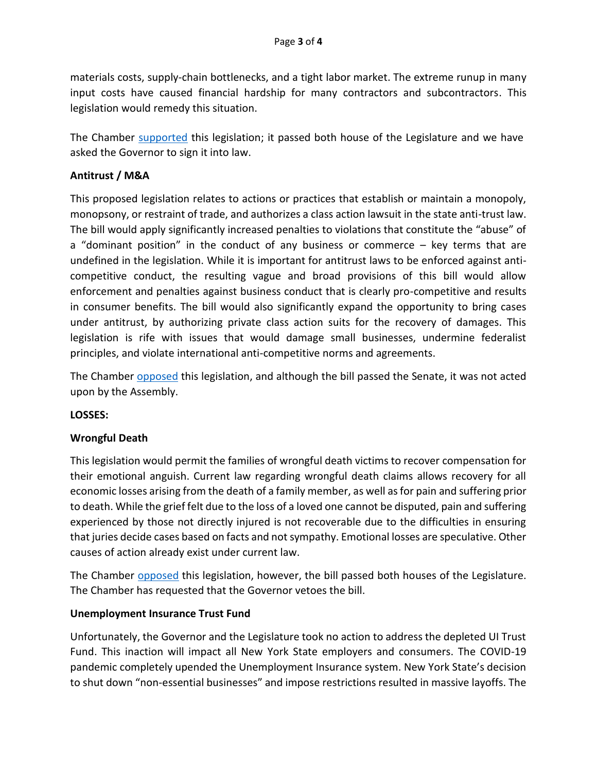materials costs, supply-chain bottlenecks, and a tight labor market. The extreme runup in many input costs have caused financial hardship for many contractors and subcontractors. This legislation would remedy this situation.

The Chamber [supported](https://capitalregionchamber.com/wp-content/uploads/2022/05/Memo-in-Support-S8844-A10109.pdf) this legislation; it passed both house of the Legislature and we have asked the Governor to sign it into law.

## **Antitrust / M&A**

This proposed legislation relates to actions or practices that establish or maintain a monopoly, monopsony, or restraint of trade, and authorizes a class action lawsuit in the state anti-trust law. The bill would apply significantly increased penalties to violations that constitute the "abuse" of a "dominant position" in the conduct of any business or commerce – key terms that are undefined in the legislation. While it is important for antitrust laws to be enforced against anticompetitive conduct, the resulting vague and broad provisions of this bill would allow enforcement and penalties against business conduct that is clearly pro-competitive and results in consumer benefits. The bill would also significantly expand the opportunity to bring cases under antitrust, by authorizing private class action suits for the recovery of damages. This legislation is rife with issues that would damage small businesses, undermine federalist principles, and violate international anti-competitive norms and agreements.

The Chamber [opposed](https://capitalregionchamber.com/wp-content/uploads/2022/01/Memo-in-Opposition-S933-A1812-Antitrust-Bill.pdf) this legislation, and although the bill passed the Senate, it was not acted upon by the Assembly.

#### **LOSSES:**

#### **Wrongful Death**

This legislation would permit the families of wrongful death victims to recover compensation for their emotional anguish. Current law regarding wrongful death claims allows recovery for all economic losses arising from the death of a family member, as well as for pain and suffering prior to death. While the grief felt due to the loss of a loved one cannot be disputed, pain and suffering experienced by those not directly injured is not recoverable due to the difficulties in ensuring that juries decide cases based on facts and not sympathy. Emotional losses are speculative. Other causes of action already exist under current law.

The Chamber [opposed](https://capitalregionchamber.com/wp-content/uploads/2022/05/Memo-in-Opposition-Wrongful-Death-Bill-S74-A6770.pdf) this legislation, however, the bill passed both houses of the Legislature. The Chamber has requested that the Governor vetoes the bill.

#### **Unemployment Insurance Trust Fund**

Unfortunately, the Governor and the Legislature took no action to address the depleted UI Trust Fund. This inaction will impact all New York State employers and consumers. The COVID-19 pandemic completely upended the Unemployment Insurance system. New York State's decision to shut down "non-essential businesses" and impose restrictions resulted in massive layoffs. The